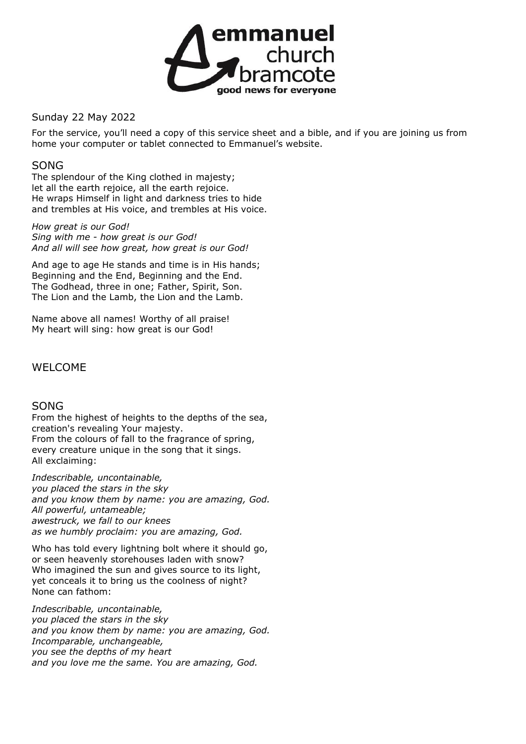

Sunday 22 May 2022

For the service, you'll need a copy of this service sheet and a bible, and if you are joining us from home your computer or tablet connected to Emmanuel's website.

## SONG

The splendour of the King clothed in majesty; let all the earth rejoice, all the earth rejoice. He wraps Himself in light and darkness tries to hide and trembles at His voice, and trembles at His voice.

*How great is our God! Sing with me - how great is our God! And all will see how great, how great is our God!*

And age to age He stands and time is in His hands; Beginning and the End, Beginning and the End. The Godhead, three in one; Father, Spirit, Son. The Lion and the Lamb, the Lion and the Lamb.

Name above all names! Worthy of all praise! My heart will sing: how great is our God!

WELCOME

# SONG

From the highest of heights to the depths of the sea, creation's revealing Your majesty. From the colours of fall to the fragrance of spring, every creature unique in the song that it sings. All exclaiming:

*Indescribable, uncontainable, you placed the stars in the sky and you know them by name: you are amazing, God. All powerful, untameable; awestruck, we fall to our knees as we humbly proclaim: you are amazing, God.*

Who has told every lightning bolt where it should go, or seen heavenly storehouses laden with snow? Who imagined the sun and gives source to its light, yet conceals it to bring us the coolness of night? None can fathom:

*Indescribable, uncontainable, you placed the stars in the sky and you know them by name: you are amazing, God. Incomparable, unchangeable, you see the depths of my heart and you love me the same. You are amazing, God.*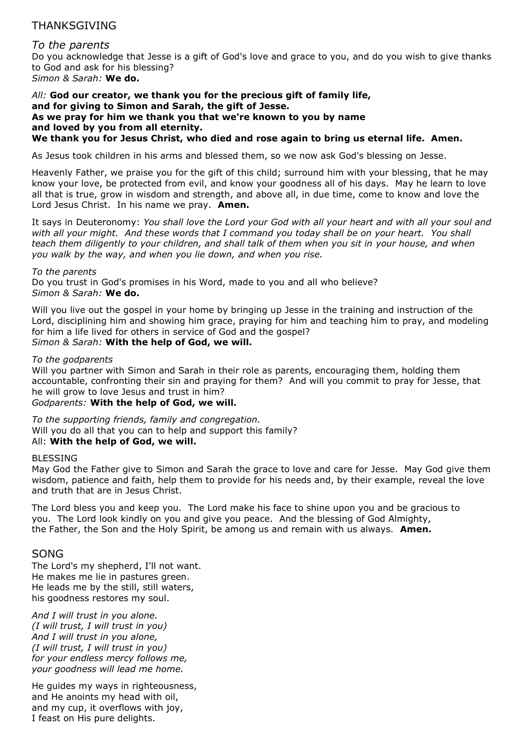# THANKSGIVING

### *To the parents*

Do you acknowledge that Jesse is a gift of God's love and grace to you, and do you wish to give thanks to God and ask for his blessing? *Simon & Sarah:* **We do.**

#### *All:* **God our creator, we thank you for the precious gift of family life, and for giving to Simon and Sarah, the gift of Jesse. As we pray for him we thank you that we're known to you by name and loved by you from all eternity. We thank you for Jesus Christ, who died and rose again to bring us eternal life. Amen.**

As Jesus took children in his arms and blessed them, so we now ask God's blessing on Jesse.

Heavenly Father, we praise you for the gift of this child; surround him with your blessing, that he may know your love, be protected from evil, and know your goodness all of his days. May he learn to love all that is true, grow in wisdom and strength, and above all, in due time, come to know and love the Lord Jesus Christ. In his name we pray. **Amen.**

It says in Deuteronomy: *You shall love the Lord your God with all your heart and with all your soul and with all your might. And these words that I command you today shall be on your heart. You shall teach them diligently to your children, and shall talk of them when you sit in your house, and when you walk by the way, and when you lie down, and when you rise.*

*To the parents*

Do you trust in God's promises in his Word, made to you and all who believe? *Simon & Sarah:* **We do.**

Will you live out the gospel in your home by bringing up Jesse in the training and instruction of the Lord, disciplining him and showing him grace, praying for him and teaching him to pray, and modeling for him a life lived for others in service of God and the gospel? *Simon & Sarah:* **With the help of God, we will.**

### *To the godparents*

Will you partner with Simon and Sarah in their role as parents, encouraging them, holding them accountable, confronting their sin and praying for them? And will you commit to pray for Jesse, that he will grow to love Jesus and trust in him?

#### *Godparents:* **With the help of God, we will.**

*To the supporting friends, family and congregation.* Will you do all that you can to help and support this family? All: **With the help of God, we will.**

### BLESSING

May God the Father give to Simon and Sarah the grace to love and care for Jesse. May God give them wisdom, patience and faith, help them to provide for his needs and, by their example, reveal the love and truth that are in Jesus Christ.

The Lord bless you and keep you. The Lord make his face to shine upon you and be gracious to you. The Lord look kindly on you and give you peace. And the blessing of God Almighty, the Father, the Son and the Holy Spirit, be among us and remain with us always. **Amen.**

## SONG

The Lord's my shepherd, I'll not want. He makes me lie in pastures green. He leads me by the still, still waters, his goodness restores my soul.

*And I will trust in you alone. (I will trust, I will trust in you) And I will trust in you alone, (I will trust, I will trust in you) for your endless mercy follows me, your goodness will lead me home.*

He guides my ways in righteousness, and He anoints my head with oil, and my cup, it overflows with joy, I feast on His pure delights.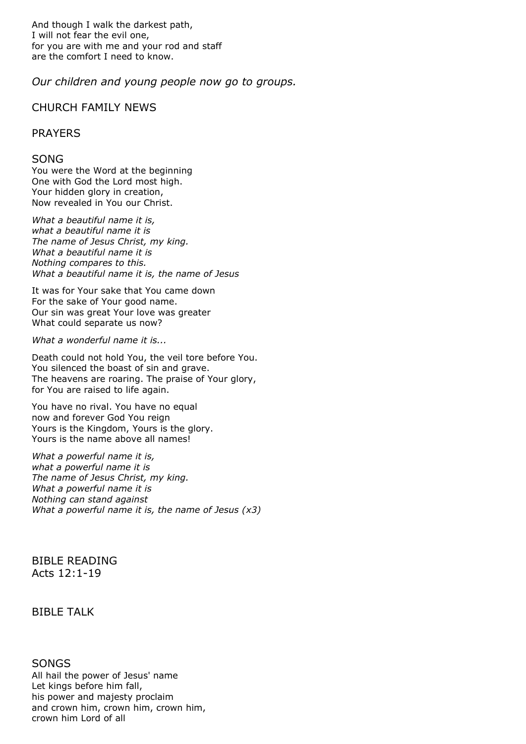*Our children and young people now go to groups.*

## CHURCH FAMILY NEWS

## PRAYERS

### SONG

You were the Word at the beginning One with God the Lord most high. Your hidden glory in creation, Now revealed in You our Christ.

*What a beautiful name it is, what a beautiful name it is The name of Jesus Christ, my king. What a beautiful name it is Nothing compares to this. What a beautiful name it is, the name of Jesus*

It was for Your sake that You came down For the sake of Your good name. Our sin was great Your love was greater What could separate us now?

#### *What a wonderful name it is...*

Death could not hold You, the veil tore before You. You silenced the boast of sin and grave. The heavens are roaring. The praise of Your glory, for You are raised to life again.

You have no rival. You have no equal now and forever God You reign Yours is the Kingdom, Yours is the glory. Yours is the name above all names!

*What a powerful name it is, what a powerful name it is The name of Jesus Christ, my king. What a powerful name it is Nothing can stand against What a powerful name it is, the name of Jesus (x3)*

BIBLE READING Acts 12:1-19

BIBLE TALK

## SONGS

All hail the power of Jesus' name Let kings before him fall, his power and majesty proclaim and crown him, crown him, crown him, crown him Lord of all